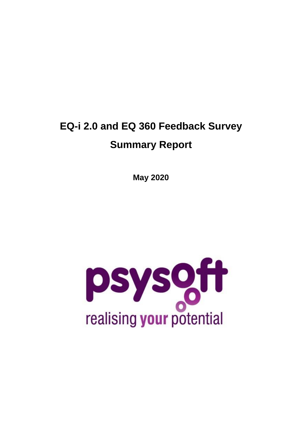## **EQ-i 2.0 and EQ 360 Feedback Survey Summary Report**

**May 2020**

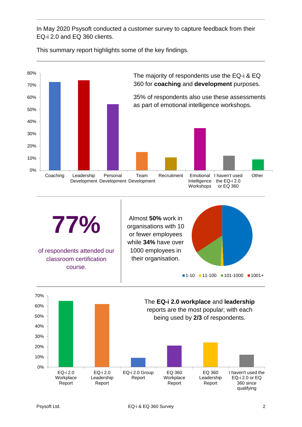In May 2020 Psysoft conducted a customer survey to capture feedback from their EQ-i 2.0 and EQ 360 clients.

This summary report highlights some of the key findings.



Report

Report

Report

Report

360 since qualifying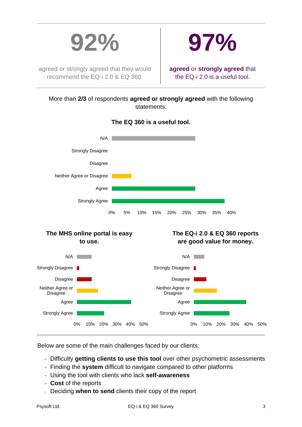



agreed or strongly agreed that they would recommend the EQ-i 2.0 & EQ 360.

**agreed** or **strongly agreed** that the EQ-i 2.0 is a useful tool.

More than **2/3** of respondents **agreed or strongly agreed** with the following statements:



**The EQ 360 is a useful tool.**

Below are some of the main challenges faced by our clients:

- Difficulty **getting clients to use this tool** over other psychometric assessments
- Finding the **system** difficult to navigate compared to other platforms
- Using the tool with clients who lack **self-awareness**
- **Cost** of the reports
- Deciding **when to send** clients their copy of the report